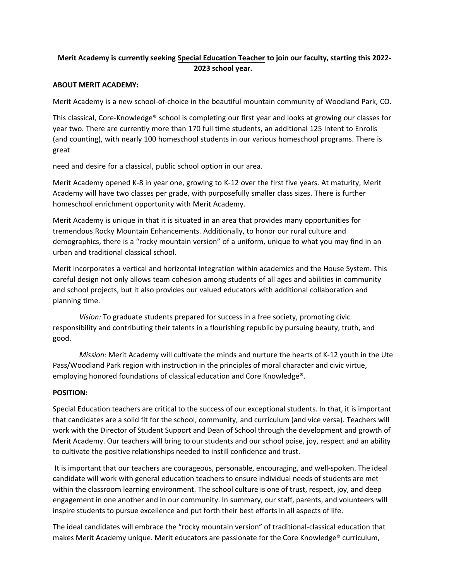# **Merit Academy is currently seeking Special Education Teacher to join our faculty, starting this 2022- 2023 school year.**

### **ABOUT MERIT ACADEMY:**

Merit Academy is a new school-of-choice in the beautiful mountain community of Woodland Park, CO.

This classical, Core-Knowledge® school is completing our first year and looks at growing our classes for year two. There are currently more than 170 full time students, an additional 125 Intent to Enrolls (and counting), with nearly 100 homeschool students in our various homeschool programs. There is great

need and desire for a classical, public school option in our area.

Merit Academy opened K-8 in year one, growing to K-12 over the first five years. At maturity, Merit Academy will have two classes per grade, with purposefully smaller class sizes. There is further homeschool enrichment opportunity with Merit Academy.

Merit Academy is unique in that it is situated in an area that provides many opportunities for tremendous Rocky Mountain Enhancements. Additionally, to honor our rural culture and demographics, there is a "rocky mountain version" of a uniform, unique to what you may find in an urban and traditional classical school.

Merit incorporates a vertical and horizontal integration within academics and the House System. This careful design not only allows team cohesion among students of all ages and abilities in community and school projects, but it also provides our valued educators with additional collaboration and planning time.

*Vision:* To graduate students prepared for success in a free society, promoting civic responsibility and contributing their talents in a flourishing republic by pursuing beauty, truth, and good.

*Mission:* Merit Academy will cultivate the minds and nurture the hearts of K-12 youth in the Ute Pass/Woodland Park region with instruction in the principles of moral character and civic virtue, employing honored foundations of classical education and Core Knowledge®.

## **POSITION:**

Special Education teachers are critical to the success of our exceptional students. In that, it is important that candidates are a solid fit for the school, community, and curriculum (and vice versa). Teachers will work with the Director of Student Support and Dean of School through the development and growth of Merit Academy. Our teachers will bring to our students and our school poise, joy, respect and an ability to cultivate the positive relationships needed to instill confidence and trust.

It is important that our teachers are courageous, personable, encouraging, and well-spoken. The ideal candidate will work with general education teachers to ensure individual needs of students are met within the classroom learning environment. The school culture is one of trust, respect, joy, and deep engagement in one another and in our community. In summary, our staff, parents, and volunteers will inspire students to pursue excellence and put forth their best efforts in all aspects of life.

The ideal candidates will embrace the "rocky mountain version" of traditional-classical education that makes Merit Academy unique. Merit educators are passionate for the Core Knowledge® curriculum,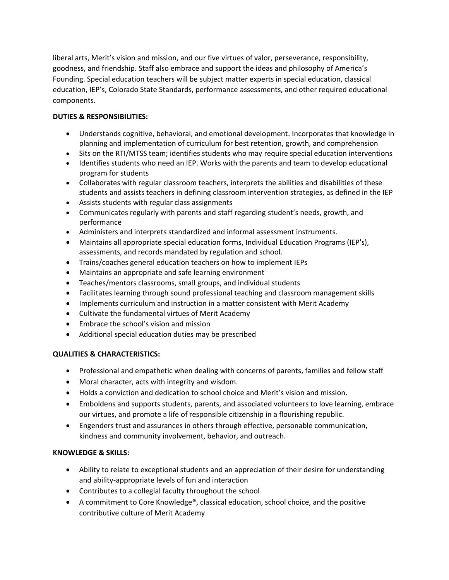liberal arts, Merit's vision and mission, and our five virtues of valor, perseverance, responsibility, goodness, and friendship. Staff also embrace and support the ideas and philosophy of America's Founding. Special education teachers will be subject matter experts in special education, classical education, IEP's, Colorado State Standards, performance assessments, and other required educational components.

# **DUTIES & RESPONSIBILITIES:**

- Understands cognitive, behavioral, and emotional development. Incorporates that knowledge in planning and implementation of curriculum for best retention, growth, and comprehension
- Sits on the RTI/MTSS team; identifies students who may require special education interventions
- Identifies students who need an IEP. Works with the parents and team to develop educational program for students
- Collaborates with regular classroom teachers, interprets the abilities and disabilities of these students and assists teachers in defining classroom intervention strategies, as defined in the IEP
- Assists students with regular class assignments
- Communicates regularly with parents and staff regarding student's needs, growth, and performance
- Administers and interprets standardized and informal assessment instruments.
- Maintains all appropriate special education forms, Individual Education Programs (IEP's), assessments, and records mandated by regulation and school.
- Trains/coaches general education teachers on how to implement IEPs
- Maintains an appropriate and safe learning environment
- Teaches/mentors classrooms, small groups, and individual students
- Facilitates learning through sound professional teaching and classroom management skills
- Implements curriculum and instruction in a matter consistent with Merit Academy
- Cultivate the fundamental virtues of Merit Academy
- Embrace the school's vision and mission
- Additional special education duties may be prescribed

# **QUALITIES & CHARACTERISTICS:**

- Professional and empathetic when dealing with concerns of parents, families and fellow staff
- Moral character, acts with integrity and wisdom.
- Holds a conviction and dedication to school choice and Merit's vision and mission.
- Emboldens and supports students, parents, and associated volunteers to love learning, embrace our virtues, and promote a life of responsible citizenship in a flourishing republic.
- Engenders trust and assurances in others through effective, personable communication, kindness and community involvement, behavior, and outreach.

# **KNOWLEDGE & SKILLS:**

- Ability to relate to exceptional students and an appreciation of their desire for understanding and ability-appropriate levels of fun and interaction
- Contributes to a collegial faculty throughout the school
- A commitment to Core Knowledge®, classical education, school choice, and the positive contributive culture of Merit Academy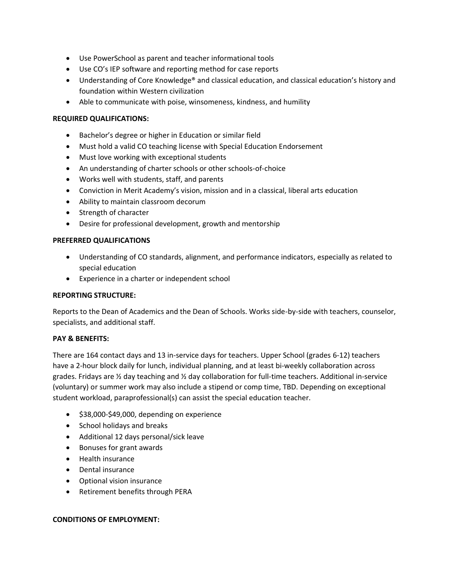- Use PowerSchool as parent and teacher informational tools
- Use CO's IEP software and reporting method for case reports
- Understanding of Core Knowledge® and classical education, and classical education's history and foundation within Western civilization
- Able to communicate with poise, winsomeness, kindness, and humility

### **REQUIRED QUALIFICATIONS:**

- Bachelor's degree or higher in Education or similar field
- Must hold a valid CO teaching license with Special Education Endorsement
- Must love working with exceptional students
- An understanding of charter schools or other schools-of-choice
- Works well with students, staff, and parents
- Conviction in Merit Academy's vision, mission and in a classical, liberal arts education
- Ability to maintain classroom decorum
- Strength of character
- Desire for professional development, growth and mentorship

### **PREFERRED QUALIFICATIONS**

- Understanding of CO standards, alignment, and performance indicators, especially as related to special education
- Experience in a charter or independent school

#### **REPORTING STRUCTURE:**

Reports to the Dean of Academics and the Dean of Schools. Works side-by-side with teachers, counselor, specialists, and additional staff.

### **PAY & BENEFITS:**

There are 164 contact days and 13 in-service days for teachers. Upper School (grades 6-12) teachers have a 2-hour block daily for lunch, individual planning, and at least bi-weekly collaboration across grades. Fridays are ½ day teaching and ½ day collaboration for full-time teachers. Additional in-service (voluntary) or summer work may also include a stipend or comp time, TBD. Depending on exceptional student workload, paraprofessional(s) can assist the special education teacher.

- \$38,000-\$49,000, depending on experience
- School holidays and breaks
- Additional 12 days personal/sick leave
- Bonuses for grant awards
- Health insurance
- Dental insurance
- Optional vision insurance
- Retirement benefits through PERA

#### **CONDITIONS OF EMPLOYMENT:**